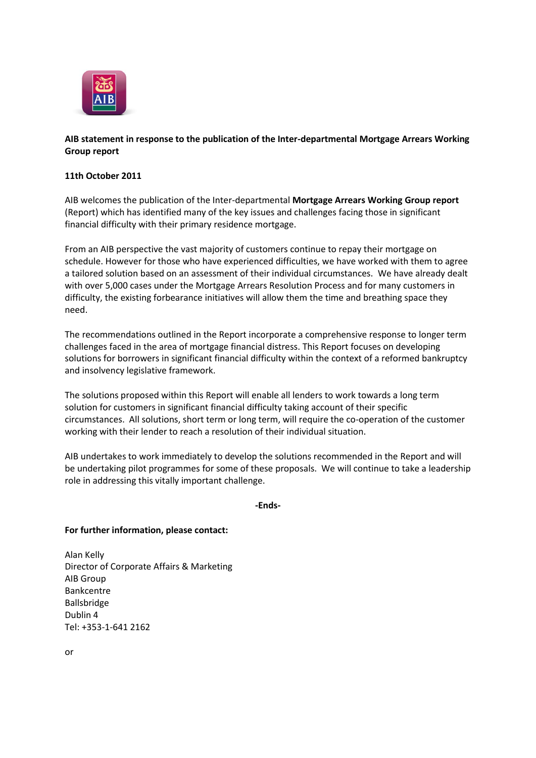

## **AIB statement in response to the publication of the Inter-departmental Mortgage Arrears Working Group report**

## **11th October 2011**

AIB welcomes the publication of the Inter-departmental **Mortgage Arrears Working Group report** (Report) which has identified many of the key issues and challenges facing those in significant financial difficulty with their primary residence mortgage.

From an AIB perspective the vast majority of customers continue to repay their mortgage on schedule. However for those who have experienced difficulties, we have worked with them to agree a tailored solution based on an assessment of their individual circumstances. We have already dealt with over 5,000 cases under the Mortgage Arrears Resolution Process and for many customers in difficulty, the existing forbearance initiatives will allow them the time and breathing space they need.

The recommendations outlined in the Report incorporate a comprehensive response to longer term challenges faced in the area of mortgage financial distress. This Report focuses on developing solutions for borrowers in significant financial difficulty within the context of a reformed bankruptcy and insolvency legislative framework.

The solutions proposed within this Report will enable all lenders to work towards a long term solution for customers in significant financial difficulty taking account of their specific circumstances. All solutions, short term or long term, will require the co-operation of the customer working with their lender to reach a resolution of their individual situation.

AIB undertakes to work immediately to develop the solutions recommended in the Report and will be undertaking pilot programmes for some of these proposals. We will continue to take a leadership role in addressing this vitally important challenge.

## **-Ends-**

## **For further information, please contact:**

Alan Kelly Director of Corporate Affairs & Marketing AIB Group Bankcentre Ballsbridge Dublin 4 Tel: +353-1-641 2162

or